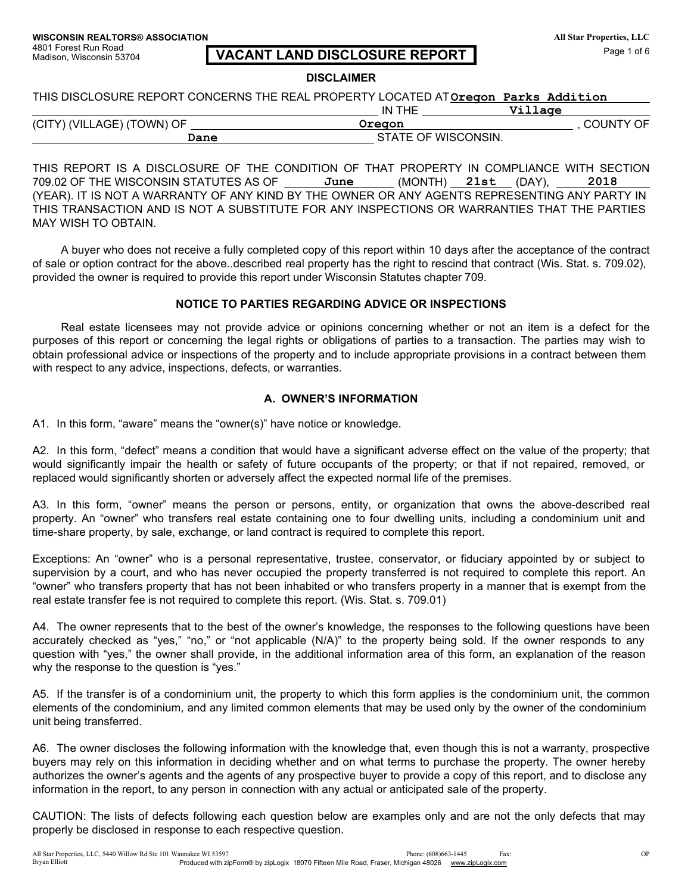4801 Forest Run Road Madison, Wisconsin 53704

#### All Star Properties, LLC Page 1 of 6

# **VACANT LAND DISCLOSURE REPORT**

#### **DISCLAIMER**

THIS DISCLOSURE REPORT CONCERNS THE REAL PROPERTY LOCATED ATOregon Parks Addition IN TUE  $77.112m$ 

|                            | 113 TOC | village             |
|----------------------------|---------|---------------------|
| (CITY) (VILLAGE) (TOWN) OF | Oregon  | <b>COUNTY OF</b>    |
|                            | Dane    | STATE OF WISCONSIN. |

THIS REPORT IS A DISCLOSURE OF THE CONDITION OF THAT PROPERTY IN COMPLIANCE WITH SECTION 709.02 OF THE WISCONSIN STATUTES AS OF June  $(MONTH)$  21st  $(DAY)$ , 2018 (YEAR). IT IS NOT A WARRANTY OF ANY KIND BY THE OWNER OR ANY AGENTS REPRESENTING ANY PARTY IN THIS TRANSACTION AND IS NOT A SUBSTITUTE FOR ANY INSPECTIONS OR WARRANTIES THAT THE PARTIES MAY WISH TO OBTAIN.

A buyer who does not receive a fully completed copy of this report within 10 days after the acceptance of the contract of sale or option contract for the above. described real property has the right to rescind that contract (Wis. Stat. s. 709.02), provided the owner is required to provide this report under Wisconsin Statutes chapter 709.

## NOTICE TO PARTIES REGARDING ADVICE OR INSPECTIONS

Real estate licensees may not provide advice or opinions concerning whether or not an item is a defect for the purposes of this report or concerning the legal rights or obligations of parties to a transaction. The parties may wish to obtain professional advice or inspections of the property and to include appropriate provisions in a contract between them with respect to any advice, inspections, defects, or warranties.

## A. OWNER'S INFORMATION

A1. In this form, "aware" means the "owner(s)" have notice or knowledge.

A2. In this form, "defect" means a condition that would have a significant adverse effect on the value of the property; that would significantly impair the health or safety of future occupants of the property; or that if not repaired, removed, or replaced would significantly shorten or adversely affect the expected normal life of the premises.

A3. In this form, "owner" means the person or persons, entity, or organization that owns the above-described real property. An "owner" who transfers real estate containing one to four dwelling units, including a condominium unit and time-share property, by sale, exchange, or land contract is required to complete this report.

Exceptions: An "owner" who is a personal representative, trustee, conservator, or fiduciary appointed by or subject to supervision by a court, and who has never occupied the property transferred is not required to complete this report. An "owner" who transfers property that has not been inhabited or who transfers property in a manner that is exempt from the real estate transfer fee is not required to complete this report. (Wis. Stat. s. 709.01)

A4. The owner represents that to the best of the owner's knowledge, the responses to the following questions have been accurately checked as "yes," "no," or "not applicable (N/A)" to the property being sold. If the owner responds to any question with "yes," the owner shall provide, in the additional information area of this form, an explanation of the reason why the response to the question is "yes."

A5. If the transfer is of a condominium unit, the property to which this form applies is the condominium unit, the common elements of the condominium, and any limited common elements that may be used only by the owner of the condominium unit being transferred.

A6. The owner discloses the following information with the knowledge that, even though this is not a warranty, prospective buyers may rely on this information in deciding whether and on what terms to purchase the property. The owner hereby authorizes the owner's agents and the agents of any prospective buyer to provide a copy of this report, and to disclose any information in the report, to any person in connection with any actual or anticipated sale of the property.

CAUTION: The lists of defects following each question below are examples only and are not the only defects that may properly be disclosed in response to each respective question.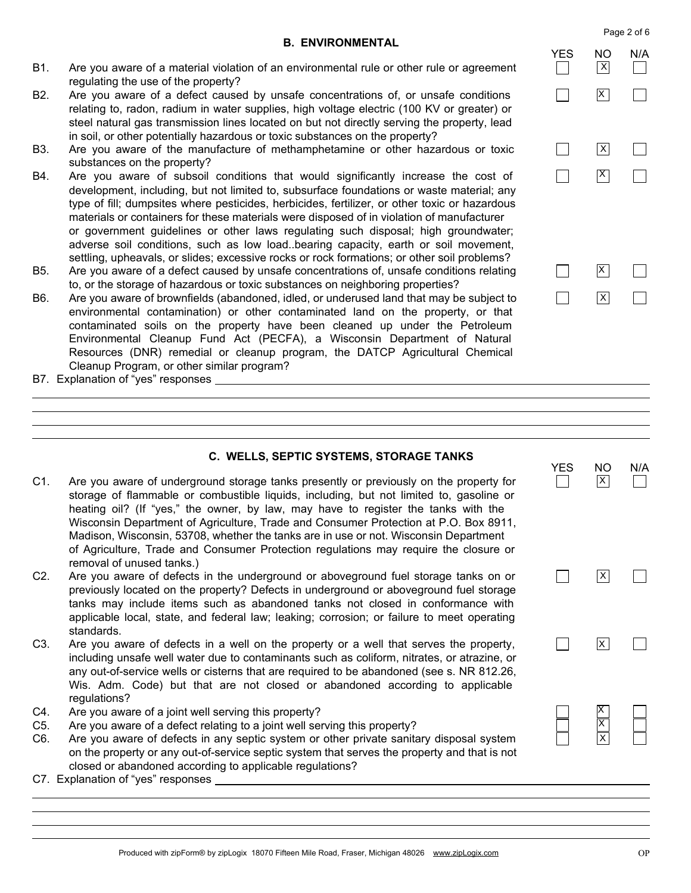### **B. ENVIRONMENTAL**

- B1. Are you aware of a material violation of an environmental rule or other rule or agreement regulating the use of the property?
- B<sub>2</sub>. Are you aware of a defect caused by unsafe concentrations of, or unsafe conditions relating to, radon, radium in water supplies, high voltage electric (100 KV or greater) or steel natural gas transmission lines located on but not directly serving the property, lead in soil, or other potentially hazardous or toxic substances on the property?
- B3. Are you aware of the manufacture of methamphetamine or other hazardous or toxic substances on the property?
- **B4** Are you aware of subsoil conditions that would significantly increase the cost of development, including, but not limited to, subsurface foundations or waste material; any type of fill; dumpsites where pesticides, herbicides, fertilizer, or other toxic or hazardous materials or containers for these materials were disposed of in violation of manufacturer or government guidelines or other laws regulating such disposal; high groundwater; adverse soil conditions, such as low load..bearing capacity, earth or soil movement, settling, upheavals, or slides; excessive rocks or rock formations; or other soil problems?
- B5. Are you aware of a defect caused by unsafe concentrations of, unsafe conditions relating to, or the storage of hazardous or toxic substances on neighboring properties?
- B6. Are you aware of brownfields (abandoned, idled, or underused land that may be subject to environmental contamination) or other contaminated land on the property, or that contaminated soils on the property have been cleaned up under the Petroleum Environmental Cleanup Fund Act (PECFA), a Wisconsin Department of Natural Resources (DNR) remedial or cleanup program, the DATCP Agricultural Chemical Cleanup Program, or other similar program?
- B7. Explanation of "yes" responses \_\_\_\_\_\_\_\_\_

#### C. WELLS, SEPTIC SYSTEMS, STORAGE TANKS

- $C1.$ Are you aware of underground storage tanks presently or previously on the property for storage of flammable or combustible liquids, including, but not limited to, gasoline or heating oil? (If "yes," the owner, by law, may have to register the tanks with the Wisconsin Department of Agriculture, Trade and Consumer Protection at P.O. Box 8911, Madison, Wisconsin, 53708, whether the tanks are in use or not. Wisconsin Department of Agriculture, Trade and Consumer Protection regulations may require the closure or removal of unused tanks.)
- $C2.$ Are you aware of defects in the underground or aboveground fuel storage tanks on or previously located on the property? Defects in underground or aboveground fuel storage tanks may include items such as abandoned tanks not closed in conformance with applicable local, state, and federal law; leaking; corrosion; or failure to meet operating standards.
- $C3.$ Are you aware of defects in a well on the property or a well that serves the property, including unsafe well water due to contaminants such as coliform, nitrates, or atrazine, or any out-of-service wells or cisterns that are required to be abandoned (see s. NR 812.26, Wis. Adm. Code) but that are not closed or abandoned according to applicable regulations?
- $C4.$ Are you aware of a joint well serving this property?
- C<sub>5</sub>. Are you aware of a defect relating to a joint well serving this property?
- C6. Are you aware of defects in any septic system or other private sanitary disposal system on the property or any out-of-service septic system that serves the property and that is not closed or abandoned according to applicable regulations?
- C7. Explanation of "yes" responses \_\_\_\_\_\_\_



 $\overline{X}$ П  $\Box$  $\Box$  $\vert x \vert$ 

**NO** 

 $|\mathsf{X}|$ 

 $N/A$ 

**YES** 

 $\Box$ 

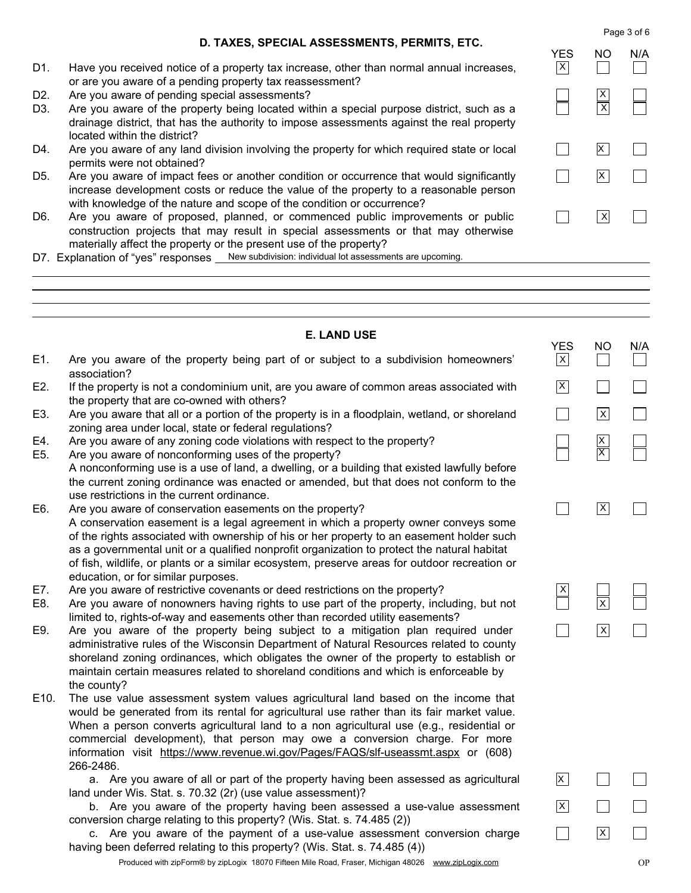Page 3 of 6

### D. TAXES, SPECIAL ASSESSMENTS, PERMITS, ETC.

- D1. Have you received notice of a property tax increase, other than normal annual increases, or are you aware of a pending property tax reassessment?
- D<sub>2</sub>. Are you aware of pending special assessments?
- Are you aware of the property being located within a special purpose district, such as a D<sub>3</sub> drainage district, that has the authority to impose assessments against the real property located within the district?
- D4. Are you aware of any land division involving the property for which required state or local permits were not obtained?
- D<sub>5</sub> Are you aware of impact fees or another condition or occurrence that would significantly increase development costs or reduce the value of the property to a reasonable person with knowledge of the nature and scope of the condition or occurrence?
- Are you aware of proposed, planned, or commenced public improvements or public D6. construction projects that may result in special assessments or that may otherwise materially affect the property or the present use of the property?
- D7. Explanation of "yes" responses New subdivision: individual lot assessments are upcoming.

#### **E. LAND USE YES NO**  $N/A$ E1. Are you aware of the property being part of or subject to a subdivision homeowners'  $\vert x \vert$  $\perp$ association?  $|\mathsf{X}|$ E2. If the property is not a condominium unit, are you aware of common areas associated with  $\mathsf{L}$ the property that are co-owned with others? E3. Are you aware that all or a portion of the property is in a floodplain, wetland, or shoreland  $\blacksquare$  $|x|$ zoning area under local, state or federal regulations?  $\frac{x}{x}$ E4. Are you aware of any zoning code violations with respect to the property? E<sub>5</sub>. Are you aware of nonconforming uses of the property? A nonconforming use is a use of land, a dwelling, or a building that existed lawfully before the current zoning ordinance was enacted or amended, but that does not conform to the use restrictions in the current ordinance.  $\vert x \vert$ E6. Are you aware of conservation easements on the property?  $\Box$  $\Box$ A conservation easement is a legal agreement in which a property owner conveys some

- of the rights associated with ownership of his or her property to an easement holder such as a governmental unit or a qualified nonprofit organization to protect the natural habitat of fish, wildlife, or plants or a similar ecosystem, preserve areas for outdoor recreation or education, or for similar purposes.
- E7. Are you aware of restrictive covenants or deed restrictions on the property?
- E8. Are you aware of nonowners having rights to use part of the property, including, but not limited to, rights-of-way and easements other than recorded utility easements?
- E9. Are you aware of the property being subject to a mitigation plan required under administrative rules of the Wisconsin Department of Natural Resources related to county shoreland zoning ordinances, which obligates the owner of the property to establish or maintain certain measures related to shoreland conditions and which is enforceable by the county?
- E10. The use value assessment system values agricultural land based on the income that would be generated from its rental for agricultural use rather than its fair market value. When a person converts agricultural land to a non agricultural use (e.g., residential or commercial development), that person may owe a conversion charge. For more information visit https://www.revenue.wi.gov/Pages/FAQS/slf-useassmt.aspx or (608) 266-2486.

a. Are you aware of all or part of the property having been assessed as agricultural land under Wis. Stat. s. 70.32 (2r) (use value assessment)?

b. Are you aware of the property having been assessed a use-value assessment conversion charge relating to this property? (Wis. Stat. s. 74.485 (2))

c. Are you aware of the payment of a use-value assessment conversion charge having been deferred relating to this property? (Wis. Stat. s. 74.485 (4))

Produced with zipForm® by zipLogix 18070 Fifteen Mile Road, Fraser, Michigan 48026 www.zipLogix.com

 $\vert \ \ \vert$ 

 $\overline{\overline{\mathsf{x}}}$ 

 $\overline{\mathsf{x}}$ 

 $\overline{\mathsf{x}}$ 

 $\Box$ 

 $\vert x \vert$ 

 $\vert x \vert$ 

**YES NO**  $N/A$  $\vert x \vert$  $\vert \ \ \vert$  $\overline{\mathsf{x}}$  $\overline{X}$  $\Box$  $|\mathsf{X}|$  $\overline{X}$  $\blacksquare$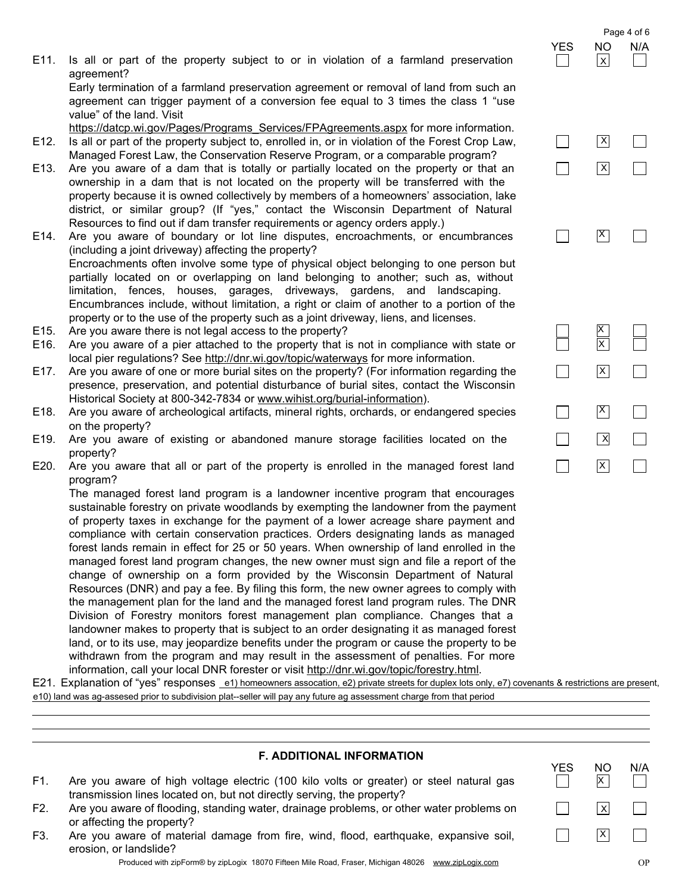$N/A$ 

**YES** 

 $\mathcal{L}$ 

**NO** 

 $\overline{X}$ 

 $\vert x \vert$ 

 $\overline{\mathsf{x}}$ 

|            |  |  |  |  |  |  | E11. Is all or part of the property subject to or in violation of a farmland preservation |  |
|------------|--|--|--|--|--|--|-------------------------------------------------------------------------------------------|--|
| agreement? |  |  |  |  |  |  |                                                                                           |  |

Early termination of a farmland preservation agreement or removal of land from such an agreement can trigger payment of a conversion fee equal to 3 times the class 1 "use value" of the land. Visit

https://datcp.wi.gov/Pages/Programs\_Services/FPAgreements.aspx for more information. Is all or part of the property subject to, enrolled in, or in violation of the Forest Crop Law, E<sub>12</sub>.

- Managed Forest Law, the Conservation Reserve Program, or a comparable program?
- Are you aware of a dam that is totally or partially located on the property or that an E13. ownership in a dam that is not located on the property will be transferred with the property because it is owned collectively by members of a homeowners' association, lake district, or similar group? (If "yes," contact the Wisconsin Department of Natural Resources to find out if dam transfer requirements or agency orders apply.)
- Are you aware of boundary or lot line disputes, encroachments, or encumbrances E14. (including a joint driveway) affecting the property? Encroachments often involve some type of physical object belonging to one person but partially located on or overlapping on land belonging to another; such as, without limitation, fences, houses, garages, driveways, gardens, and landscaping. Encumbrances include, without limitation, a right or claim of another to a portion of the property or to the use of the property such as a joint driveway, liens, and licenses.
- E<sub>15</sub>. Are you aware there is not legal access to the property?
- E16. Are you aware of a pier attached to the property that is not in compliance with state or local pier regulations? See http://dnr.wi.gov/topic/waterways for more information.
- E17. Are you aware of one or more burial sites on the property? (For information regarding the presence, preservation, and potential disturbance of burial sites, contact the Wisconsin Historical Society at 800-342-7834 or www.wihist.org/burial-information).
- E18. Are you aware of archeological artifacts, mineral rights, orchards, or endangered species on the property?
- E19. Are you aware of existing or abandoned manure storage facilities located on the property?
- E20. Are you aware that all or part of the property is enrolled in the managed forest land program?

The managed forest land program is a landowner incentive program that encourages sustainable forestry on private woodlands by exempting the landowner from the payment of property taxes in exchange for the payment of a lower acreage share payment and compliance with certain conservation practices. Orders designating lands as managed forest lands remain in effect for 25 or 50 years. When ownership of land enrolled in the managed forest land program changes, the new owner must sign and file a report of the change of ownership on a form provided by the Wisconsin Department of Natural Resources (DNR) and pay a fee. By filing this form, the new owner agrees to comply with the management plan for the land and the managed forest land program rules. The DNR Division of Forestry monitors forest management plan compliance. Changes that a landowner makes to property that is subject to an order designating it as managed forest land, or to its use, may jeopardize benefits under the program or cause the property to be withdrawn from the program and may result in the assessment of penalties. For more information, call your local DNR forester or visit http://dnr.wi.gov/topic/forestry.html.

E21. Explanation of "yes" responses \_e1) homeowners assocation, e2) private streets for duplex lots only, e7) covenants & restrictions are present, e10) land was ag-assesed prior to subdivision plat--seller will pay any future ag assessment charge from that period

# **F. ADDITIONAL INFORMATION**

- $F1.$ Are you aware of high voltage electric (100 kilo volts or greater) or steel natural gas transmission lines located on, but not directly serving, the property?
- F2. Are you aware of flooding, standing water, drainage problems, or other water problems on or affecting the property?
- Are you aware of material damage from fire, wind, flood, earthquake, expansive soil, F3. erosion, or landslide?

Produced with zipForm® by zipLogix 18070 Fifteen Mile Road, Fraser, Michigan 48026 www.zipLogix.com

 $\vert x \vert$  $\Box$  $\Box$ ᄀ  $\vert X \vert$  $\vert X \vert$  $\Box$  $\Box$  $\frac{1}{x}$ ᄀ  $\vert x \vert$  $\mathsf{X}$  $\Box$  $\overline{\mathsf{X}}$  $\Box$  $\Box$  $\Box$  $\vert x \vert$ 

#### Page 4 of 6 **NO**  $N/A$  $|x|$

YES.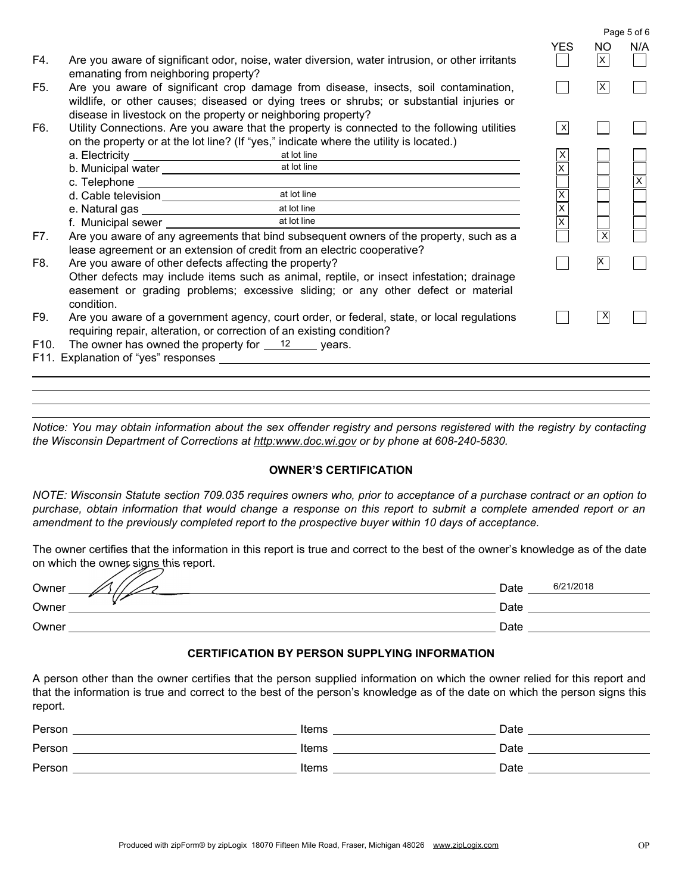|                   |                                                                                                                                                                                                                                      |                                                                                                                                                                                        |                         |      | Page 5 of 6             |
|-------------------|--------------------------------------------------------------------------------------------------------------------------------------------------------------------------------------------------------------------------------------|----------------------------------------------------------------------------------------------------------------------------------------------------------------------------------------|-------------------------|------|-------------------------|
|                   |                                                                                                                                                                                                                                      |                                                                                                                                                                                        | <b>YES</b>              | NO.  | N/A                     |
| F4.               | emanating from neighboring property?                                                                                                                                                                                                 | Are you aware of significant odor, noise, water diversion, water intrusion, or other irritants                                                                                         |                         | lx l |                         |
| F <sub>5</sub> .  | disease in livestock on the property or neighboring property?                                                                                                                                                                        | Are you aware of significant crop damage from disease, insects, soil contamination,<br>wildlife, or other causes; diseased or dying trees or shrubs; or substantial injuries or        |                         | IX.  |                         |
| F6.               |                                                                                                                                                                                                                                      | Utility Connections. Are you aware that the property is connected to the following utilities<br>on the property or at the lot line? (If "yes," indicate where the utility is located.) | X                       |      |                         |
|                   |                                                                                                                                                                                                                                      | at lot line                                                                                                                                                                            | Х                       |      |                         |
|                   | b. Municipal water <b>contains the contract of the contract of the contract of the contract of the contract of the contract of the contract of the contract of the contract of the contract of the contract of the contract of t</b> | at lot line                                                                                                                                                                            | $\overline{x}$          |      |                         |
|                   |                                                                                                                                                                                                                                      |                                                                                                                                                                                        |                         |      | $\overline{\mathsf{x}}$ |
|                   |                                                                                                                                                                                                                                      | at lot line                                                                                                                                                                            |                         |      |                         |
|                   |                                                                                                                                                                                                                                      | at lot line                                                                                                                                                                            | $\vert x \vert$         |      |                         |
|                   |                                                                                                                                                                                                                                      | at lot line                                                                                                                                                                            | $\overline{\mathsf{x}}$ |      |                         |
| F7.               |                                                                                                                                                                                                                                      | Are you aware of any agreements that bind subsequent owners of the property, such as a<br>lease agreement or an extension of credit from an electric cooperative?                      |                         |      |                         |
| F8.               | Are you aware of other defects affecting the property?                                                                                                                                                                               |                                                                                                                                                                                        |                         | IX.  |                         |
|                   | condition.                                                                                                                                                                                                                           | Other defects may include items such as animal, reptile, or insect infestation; drainage<br>easement or grading problems; excessive sliding; or any other defect or material           |                         |      |                         |
| F9.               |                                                                                                                                                                                                                                      | Are you aware of a government agency, court order, or federal, state, or local regulations                                                                                             |                         |      |                         |
|                   | requiring repair, alteration, or correction of an existing condition?                                                                                                                                                                |                                                                                                                                                                                        |                         |      |                         |
| F <sub>10</sub> . | The owner has owned the property for $\frac{12}{2}$ years.                                                                                                                                                                           |                                                                                                                                                                                        |                         |      |                         |
|                   |                                                                                                                                                                                                                                      |                                                                                                                                                                                        |                         |      |                         |
|                   |                                                                                                                                                                                                                                      |                                                                                                                                                                                        |                         |      |                         |
|                   |                                                                                                                                                                                                                                      |                                                                                                                                                                                        |                         |      |                         |
|                   |                                                                                                                                                                                                                                      |                                                                                                                                                                                        |                         |      |                         |

Notice: You may obtain information about the sex offender registry and persons registered with the registry by contacting the Wisconsin Department of Corrections at http:www.doc.wi.gov or by phone at 608-240-5830.

# **OWNER'S CERTIFICATION**

NOTE: Wisconsin Statute section 709.035 requires owners who, prior to acceptance of a purchase contract or an option to purchase, obtain information that would change a response on this report to submit a complete amended report or an amendment to the previously completed report to the prospective buyer within 10 days of acceptance.

The owner certifies that the information in this report is true and correct to the best of the owner's knowledge as of the date on which the owner signs this report.

| --<br>╱<br>Owner | Date | 6/21/2018 |
|------------------|------|-----------|
| Owner            | Date |           |
| Owner            | Date |           |

# **CERTIFICATION BY PERSON SUPPLYING INFORMATION**

A person other than the owner certifies that the person supplied information on which the owner relied for this report and that the information is true and correct to the best of the person's knowledge as of the date on which the person signs this report.

| Person | Items | Date |
|--------|-------|------|
| Person | Items | Date |
| Person | Items | Date |